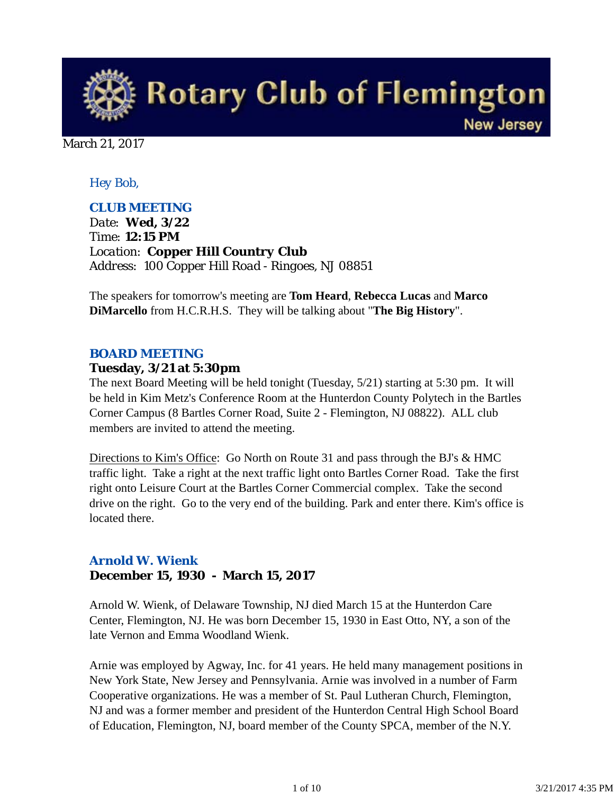

March 21, 2017

#### *Hey Bob,*

#### *CLUB MEETING*

*Date: Wed, 3/22 Time: 12:15 PM Location: Copper Hill Country Club Address: 100 Copper Hill Road - Ringoes, NJ 08851*

The speakers for tomorrow's meeting are **Tom Heard**, **Rebecca Lucas** and **Marco DiMarcello** from H.C.R.H.S. They will be talking about "**The Big History**".

#### *BOARD MEETING*

#### **Tuesday, 3/21 at 5:30pm**

The next Board Meeting will be held tonight (Tuesday, 5/21) starting at 5:30 pm. It will be held in Kim Metz's Conference Room at the Hunterdon County Polytech in the Bartles Corner Campus (8 Bartles Corner Road, Suite 2 - Flemington, NJ 08822). ALL club members are invited to attend the meeting.

Directions to Kim's Office: Go North on Route 31 and pass through the BJ's & HMC traffic light. Take a right at the next traffic light onto Bartles Corner Road. Take the first right onto Leisure Court at the Bartles Corner Commercial complex. Take the second drive on the right. Go to the very end of the building. Park and enter there. Kim's office is located there.

#### *Arnold W. Wienk* **December 15, 1930 - March 15, 2017**

Arnold W. Wienk, of Delaware Township, NJ died March 15 at the Hunterdon Care Center, Flemington, NJ. He was born December 15, 1930 in East Otto, NY, a son of the late Vernon and Emma Woodland Wienk.

Arnie was employed by Agway, Inc. for 41 years. He held many management positions in New York State, New Jersey and Pennsylvania. Arnie was involved in a number of Farm Cooperative organizations. He was a member of St. Paul Lutheran Church, Flemington, NJ and was a former member and president of the Hunterdon Central High School Board of Education, Flemington, NJ, board member of the County SPCA, member of the N.Y.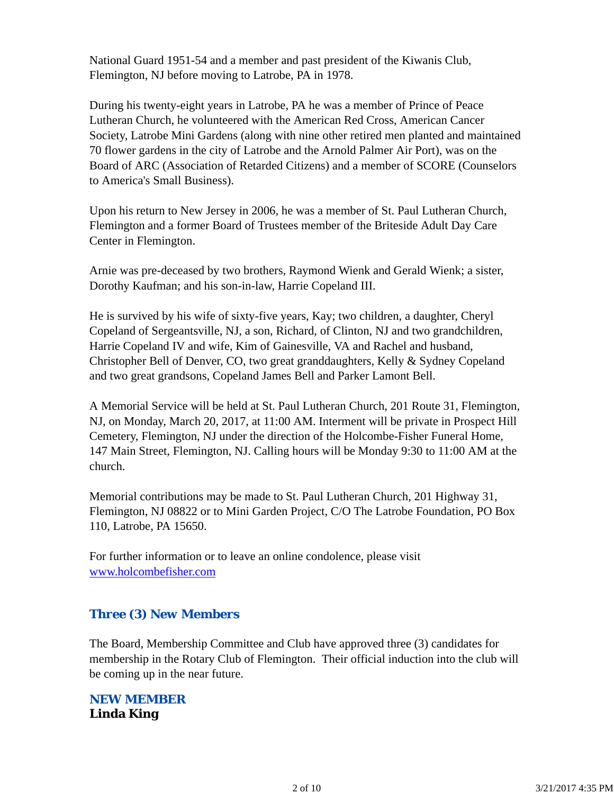National Guard 1951-54 and a member and past president of the Kiwanis Club, Flemington, NJ before moving to Latrobe, PA in 1978.

During his twenty-eight years in Latrobe, PA he was a member of Prince of Peace Lutheran Church, he volunteered with the American Red Cross, American Cancer Society, Latrobe Mini Gardens (along with nine other retired men planted and maintained 70 flower gardens in the city of Latrobe and the Arnold Palmer Air Port), was on the Board of ARC (Association of Retarded Citizens) and a member of SCORE (Counselors to America's Small Business).

Upon his return to New Jersey in 2006, he was a member of St. Paul Lutheran Church, Flemington and a former Board of Trustees member of the Briteside Adult Day Care Center in Flemington.

Arnie was pre-deceased by two brothers, Raymond Wienk and Gerald Wienk; a sister, Dorothy Kaufman; and his son-in-law, Harrie Copeland III.

He is survived by his wife of sixty-five years, Kay; two children, a daughter, Cheryl Copeland of Sergeantsville, NJ, a son, Richard, of Clinton, NJ and two grandchildren, Harrie Copeland IV and wife, Kim of Gainesville, VA and Rachel and husband, Christopher Bell of Denver, CO, two great granddaughters, Kelly & Sydney Copeland and two great grandsons, Copeland James Bell and Parker Lamont Bell.

A Memorial Service will be held at St. Paul Lutheran Church, 201 Route 31, Flemington, NJ, on Monday, March 20, 2017, at 11:00 AM. Interment will be private in Prospect Hill Cemetery, Flemington, NJ under the direction of the Holcombe-Fisher Funeral Home, 147 Main Street, Flemington, NJ. Calling hours will be Monday 9:30 to 11:00 AM at the church.

Memorial contributions may be made to St. Paul Lutheran Church, 201 Highway 31, Flemington, NJ 08822 or to Mini Garden Project, C/O The Latrobe Foundation, PO Box 110, Latrobe, PA 15650.

For further information or to leave an online condolence, please visit www.holcombefisher.com

#### *Three (3) New Members*

The Board, Membership Committee and Club have approved three (3) candidates for membership in the Rotary Club of Flemington. Their official induction into the club will be coming up in the near future.

*NEW MEMBER* **Linda King**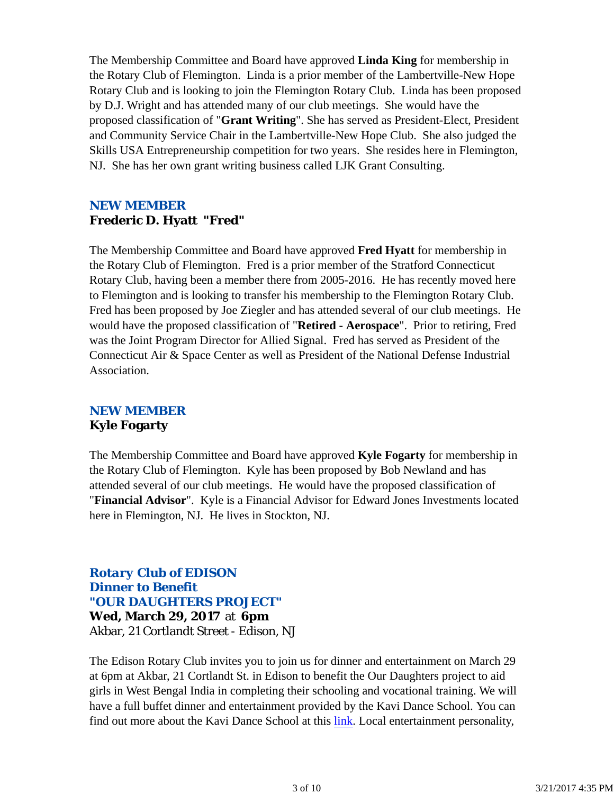The Membership Committee and Board have approved **Linda King** for membership in the Rotary Club of Flemington. Linda is a prior member of the Lambertville-New Hope Rotary Club and is looking to join the Flemington Rotary Club. Linda has been proposed by D.J. Wright and has attended many of our club meetings. She would have the proposed classification of "**Grant Writing**". She has served as President-Elect, President and Community Service Chair in the Lambertville-New Hope Club. She also judged the Skills USA Entrepreneurship competition for two years. She resides here in Flemington, NJ. She has her own grant writing business called LJK Grant Consulting.

#### *NEW MEMBER* **Frederic D. Hyatt "Fred"**

The Membership Committee and Board have approved **Fred Hyatt** for membership in the Rotary Club of Flemington. Fred is a prior member of the Stratford Connecticut Rotary Club, having been a member there from 2005-2016. He has recently moved here to Flemington and is looking to transfer his membership to the Flemington Rotary Club. Fred has been proposed by Joe Ziegler and has attended several of our club meetings. He would have the proposed classification of "**Retired - Aerospace**". Prior to retiring, Fred was the Joint Program Director for Allied Signal. Fred has served as President of the Connecticut Air & Space Center as well as President of the National Defense Industrial Association.

#### *NEW MEMBER* **Kyle Fogarty**

The Membership Committee and Board have approved **Kyle Fogarty** for membership in the Rotary Club of Flemington. Kyle has been proposed by Bob Newland and has attended several of our club meetings. He would have the proposed classification of "**Financial Advisor**". Kyle is a Financial Advisor for Edward Jones Investments located here in Flemington, NJ. He lives in Stockton, NJ.

#### *Rotary Club of EDISON Dinner to Benefit "OUR DAUGHTERS PROJECT"* **Wed, March 29, 2017** at **6pm** Akbar, 21 Cortlandt Street - Edison, NJ

The Edison Rotary Club invites you to join us for dinner and entertainment on March 29 at 6pm at Akbar, 21 Cortlandt St. in Edison to benefit the Our Daughters project to aid girls in West Bengal India in completing their schooling and vocational training. We will have a full buffet dinner and entertainment provided by the Kavi Dance School. You can find out more about the Kavi Dance School at this link. Local entertainment personality,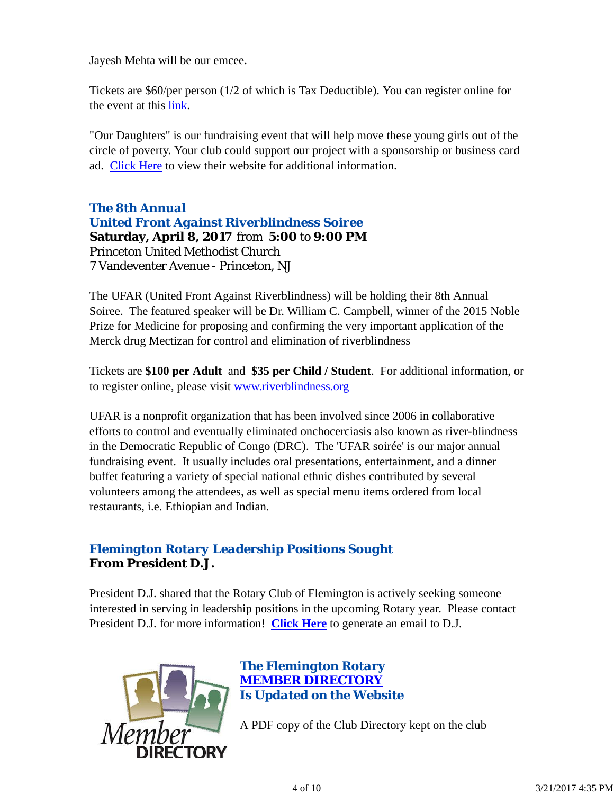Jayesh Mehta will be our emcee.

Tickets are \$60/per person (1/2 of which is Tax Deductible). You can register online for the event at this link.

"Our Daughters" is our fundraising event that will help move these young girls out of the circle of poverty. Your club could support our project with a sponsorship or business card ad. Click Here to view their website for additional information.

*The 8th Annual United Front Against Riverblindness Soiree* **Saturday, April 8, 2017** from **5:00** to **9:00 PM** Princeton United Methodist Church 7 Vandeventer Avenue - Princeton, NJ

The UFAR (United Front Against Riverblindness) will be holding their 8th Annual Soiree. The featured speaker will be Dr. William C. Campbell, winner of the 2015 Noble Prize for Medicine for proposing and confirming the very important application of the Merck drug Mectizan for control and elimination of riverblindness

Tickets are **\$100 per Adult** and **\$35 per Child / Student**. For additional information, or to register online, please visit www.riverblindness.org

UFAR is a nonprofit organization that has been involved since 2006 in collaborative efforts to control and eventually eliminated onchocerciasis also known as river-blindness in the Democratic Republic of Congo (DRC). The 'UFAR soirée' is our major annual fundraising event. It usually includes oral presentations, entertainment, and a dinner buffet featuring a variety of special national ethnic dishes contributed by several volunteers among the attendees, as well as special menu items ordered from local restaurants, i.e. Ethiopian and Indian.

#### *Flemington Rotary Leadership Positions Sought* **From President D.J.**

President D.J. shared that the Rotary Club of Flemington is actively seeking someone interested in serving in leadership positions in the upcoming Rotary year. Please contact President D.J. for more information! **Click Here** to generate an email to D.J.



*The Flemington Rotary MEMBER DIRECTORY Is Updated on the Website*

A PDF copy of the Club Directory kept on the club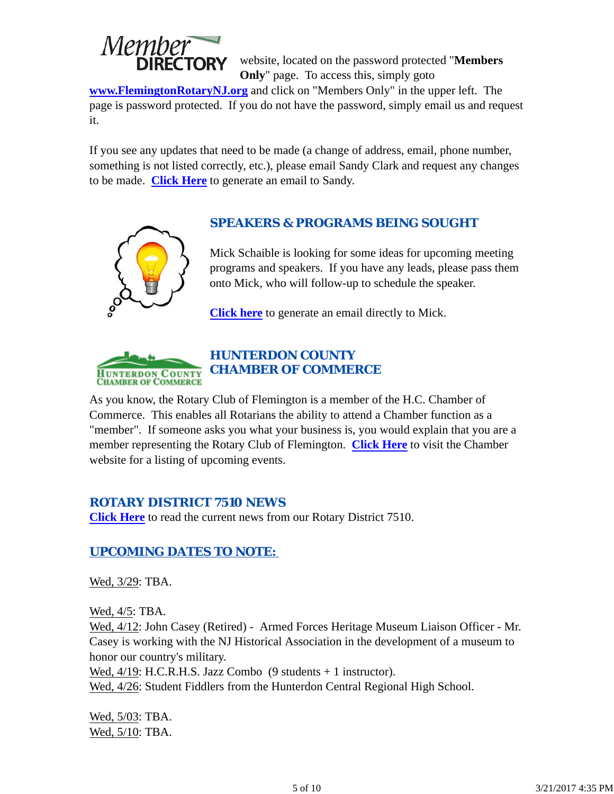

website, located on the password protected "**Members Only**" page. To access this, simply goto

**www.FlemingtonRotaryNJ.org** and click on "Members Only" in the upper left. The page is password protected. If you do not have the password, simply email us and request it.

If you see any updates that need to be made (a change of address, email, phone number, something is not listed correctly, etc.), please email Sandy Clark and request any changes to be made. **Click Here** to generate an email to Sandy.

#### *SPEAKERS & PROGRAMS BEING SOUGHT*

Mick Schaible is looking for some ideas for upcoming meeting programs and speakers. If you have any leads, please pass them onto Mick, who will follow-up to schedule the speaker.

**Click here** to generate an email directly to Mick.



#### *HUNTERDON COUNTY CHAMBER OF COMMERCE*

As you know, the Rotary Club of Flemington is a member of the H.C. Chamber of Commerce. This enables all Rotarians the ability to attend a Chamber function as a "member". If someone asks you what your business is, you would explain that you are a member representing the Rotary Club of Flemington. **Click Here** to visit the Chamber website for a listing of upcoming events.

#### *ROTARY DISTRICT 7510 NEWS*

**Click Here** to read the current news from our Rotary District 7510.

### *UPCOMING DATES TO NOTE:*

Wed,  $3/29$ : TBA.

Wed, 4/5: TBA.

Wed, 4/12: John Casey (Retired) - Armed Forces Heritage Museum Liaison Officer - Mr. Casey is working with the NJ Historical Association in the development of a museum to honor our country's military.

Wed,  $4/19$ : H.C.R.H.S. Jazz Combo (9 students + 1 instructor).

Wed,  $4/26$ : Student Fiddlers from the Hunterdon Central Regional High School.

Wed, 5/03: TBA. Wed, 5/10: TBA.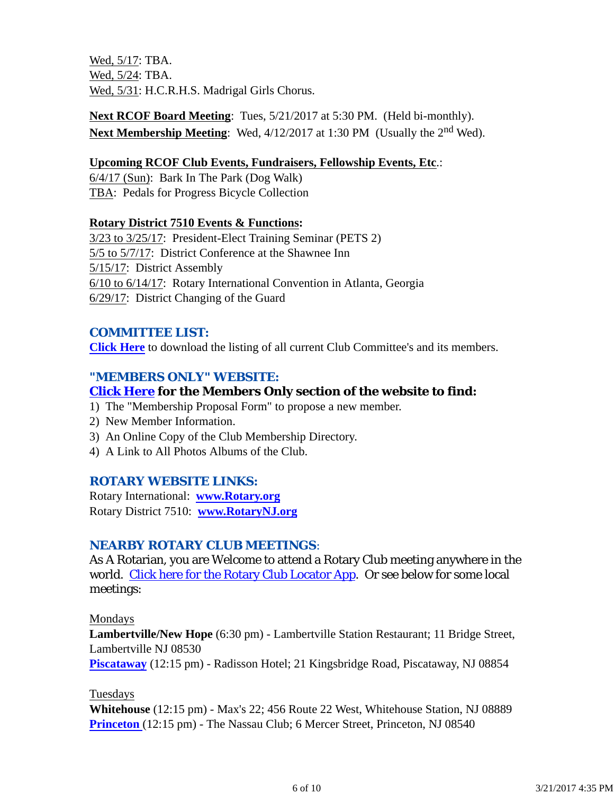Wed, 5/17: TBA. Wed, 5/24: TBA. Wed, 5/31: H.C.R.H.S. Madrigal Girls Chorus.

**Next RCOF Board Meeting**: Tues, 5/21/2017 at 5:30 PM. (Held bi-monthly). **Next Membership Meeting**: Wed,  $4/12/2017$  at 1:30 PM (Usually the 2<sup>nd</sup> Wed).

#### **Upcoming RCOF Club Events, Fundraisers, Fellowship Events, Etc**.:

6/4/17 (Sun): Bark In The Park (Dog Walk) TBA: Pedals for Progress Bicycle Collection

#### **Rotary District 7510 Events & Functions:**

3/23 to 3/25/17: President-Elect Training Seminar (PETS 2) 5/5 to 5/7/17: District Conference at the Shawnee Inn 5/15/17: District Assembly 6/10 to 6/14/17: Rotary International Convention in Atlanta, Georgia 6/29/17: District Changing of the Guard

#### *COMMITTEE LIST:*

**Click Here** to download the listing of all current Club Committee's and its members.

#### *"MEMBERS ONLY" WEBSITE:*

#### **Click Here for the Members Only section of the website to find:**

- 1) The "Membership Proposal Form" to propose a new member.
- 2) New Member Information.
- 3) An Online Copy of the Club Membership Directory.
- 4) A Link to All Photos Albums of the Club.

#### *ROTARY WEBSITE LINKS:*

Rotary International: **www.Rotary.org** Rotary District 7510: **www.RotaryNJ.org**

#### *NEARBY ROTARY CLUB MEETINGS:*

As A Rotarian, you are Welcome to attend a Rotary Club meeting anywhere in the world. Click here for the Rotary Club Locator App. Or see below for some local meetings:

#### Mondays

**Lambertville/New Hope** (6:30 pm) - Lambertville Station Restaurant; 11 Bridge Street, Lambertville NJ 08530

**Piscataway** (12:15 pm) - Radisson Hotel; 21 Kingsbridge Road, Piscataway, NJ 08854

#### Tuesdays

**Whitehouse** (12:15 pm) - Max's 22; 456 Route 22 West, Whitehouse Station, NJ 08889 **Princeton** (12:15 pm) - The Nassau Club; 6 Mercer Street, Princeton, NJ 08540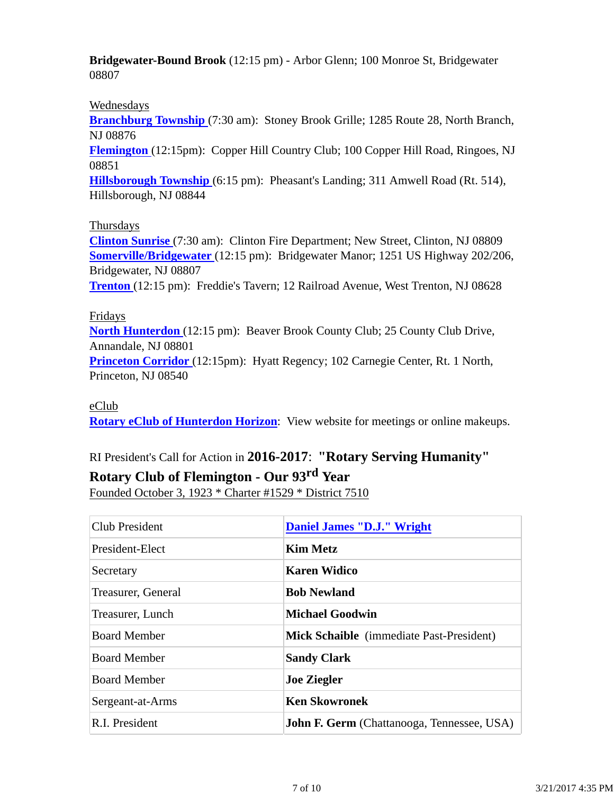**Bridgewater-Bound Brook** (12:15 pm) - Arbor Glenn; 100 Monroe St, Bridgewater 08807

#### Wednesdays

**Branchburg Township** (7:30 am): Stoney Brook Grille; 1285 Route 28, North Branch, NJ 08876

**Flemington** (12:15pm): Copper Hill Country Club; 100 Copper Hill Road, Ringoes, NJ 08851

**Hillsborough Township** (6:15 pm): Pheasant's Landing; 311 Amwell Road (Rt. 514), Hillsborough, NJ 08844

#### Thursdays

**Clinton Sunrise** (7:30 am): Clinton Fire Department; New Street, Clinton, NJ 08809 **Somerville/Bridgewater** (12:15 pm): Bridgewater Manor; 1251 US Highway 202/206, Bridgewater, NJ 08807 **Trenton** (12:15 pm): Freddie's Tavern; 12 Railroad Avenue, West Trenton, NJ 08628

Fridays

**North Hunterdon** (12:15 pm): Beaver Brook County Club; 25 County Club Drive, Annandale, NJ 08801 **Princeton Corridor** (12:15pm): Hyatt Regency; 102 Carnegie Center, Rt. 1 North,

Princeton, NJ 08540

#### eClub

**Rotary eClub of Hunterdon Horizon**: View website for meetings or online makeups.

# RI President's Call for Action in **2016-2017**: **"Rotary Serving Humanity"**

## **Rotary Club of Flemington - Our 93rd Year**

Founded October 3, 1923 \* Charter #1529 \* District 7510

| Club President      | <b>Daniel James "D.J." Wright</b>                 |
|---------------------|---------------------------------------------------|
| President-Elect     | <b>Kim Metz</b>                                   |
| Secretary           | <b>Karen Widico</b>                               |
| Treasurer, General  | <b>Bob Newland</b>                                |
| Treasurer, Lunch    | <b>Michael Goodwin</b>                            |
| <b>Board Member</b> | Mick Schaible (immediate Past-President)          |
| <b>Board Member</b> | <b>Sandy Clark</b>                                |
| <b>Board Member</b> | <b>Joe Ziegler</b>                                |
| Sergeant-at-Arms    | <b>Ken Skowronek</b>                              |
| R.I. President      | <b>John F. Germ</b> (Chattanooga, Tennessee, USA) |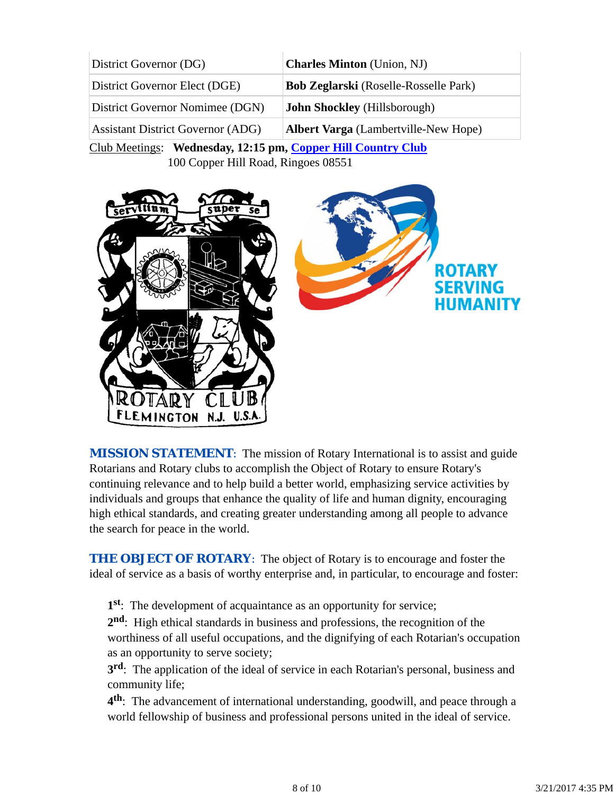| District Governor (DG)                                       | <b>Charles Minton</b> (Union, NJ)            |  |  |
|--------------------------------------------------------------|----------------------------------------------|--|--|
| District Governor Elect (DGE)                                | <b>Bob Zeglarski</b> (Roselle-Rosselle Park) |  |  |
| District Governor Nomimee (DGN)                              | <b>John Shockley</b> (Hillsborough)          |  |  |
| Assistant District Governor (ADG)                            | <b>Albert Varga</b> (Lambertville-New Hope)  |  |  |
| Club Meetings: Wednesday, 12:15 pm, Copper Hill Country Club |                                              |  |  |

100 Copper Hill Road, Ringoes 08551



**MISSION STATEMENT:** The mission of Rotary International is to assist and guide Rotarians and Rotary clubs to accomplish the Object of Rotary to ensure Rotary's continuing relevance and to help build a better world, emphasizing service activities by individuals and groups that enhance the quality of life and human dignity, encouraging high ethical standards, and creating greater understanding among all people to advance the search for peace in the world.

**THE OBJECT OF ROTARY:** The object of Rotary is to encourage and foster the ideal of service as a basis of worthy enterprise and, in particular, to encourage and foster:

**1st**: The development of acquaintance as an opportunity for service;

**2nd**: High ethical standards in business and professions, the recognition of the worthiness of all useful occupations, and the dignifying of each Rotarian's occupation as an opportunity to serve society;

**3rd**: The application of the ideal of service in each Rotarian's personal, business and community life;

**4th**: The advancement of international understanding, goodwill, and peace through a world fellowship of business and professional persons united in the ideal of service.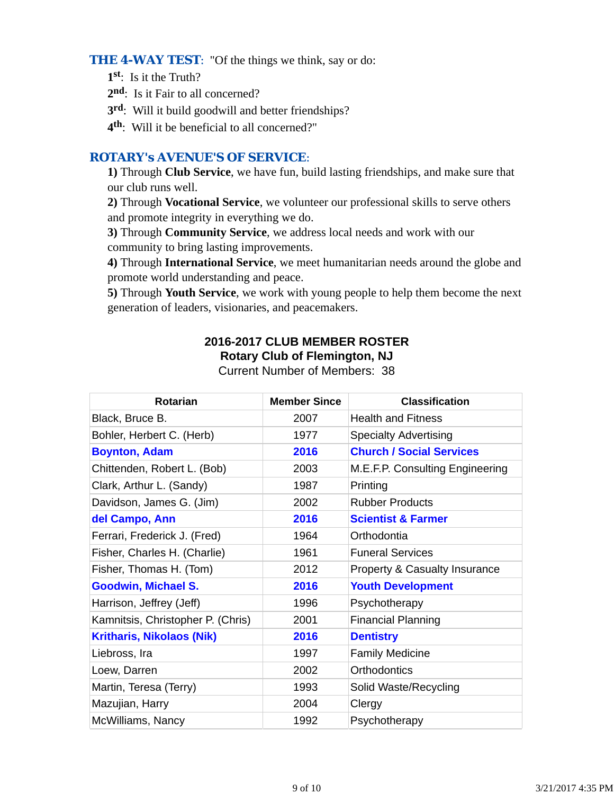**THE 4-WAY TEST:** "Of the things we think, say or do:

- **1st**: Is it the Truth?
- 2<sup>nd</sup>: Is it Fair to all concerned?
- **3rd**: Will it build goodwill and better friendships?
- **4th**: Will it be beneficial to all concerned?"

#### *ROTARY's AVENUE'S OF SERVICE*:

**1)** Through **Club Service**, we have fun, build lasting friendships, and make sure that our club runs well.

**2)** Through **Vocational Service**, we volunteer our professional skills to serve others and promote integrity in everything we do.

**3)** Through **Community Service**, we address local needs and work with our community to bring lasting improvements.

**4)** Through **International Service**, we meet humanitarian needs around the globe and promote world understanding and peace.

**5)** Through **Youth Service**, we work with young people to help them become the next generation of leaders, visionaries, and peacemakers.

#### **2016-2017 CLUB MEMBER ROSTER Rotary Club of Flemington, NJ**

Current Number of Members: 38

| <b>Rotarian</b>                   | <b>Member Since</b> | <b>Classification</b>                    |
|-----------------------------------|---------------------|------------------------------------------|
| Black, Bruce B.                   | 2007                | <b>Health and Fitness</b>                |
| Bohler, Herbert C. (Herb)         | 1977                | <b>Specialty Advertising</b>             |
| <b>Boynton, Adam</b>              | 2016                | <b>Church / Social Services</b>          |
| Chittenden, Robert L. (Bob)       | 2003                | M.E.F.P. Consulting Engineering          |
| Clark, Arthur L. (Sandy)          | 1987                | Printing                                 |
| Davidson, James G. (Jim)          | 2002                | <b>Rubber Products</b>                   |
| del Campo, Ann                    | 2016                | <b>Scientist &amp; Farmer</b>            |
| Ferrari, Frederick J. (Fred)      | 1964                | Orthodontia                              |
| Fisher, Charles H. (Charlie)      | 1961                | <b>Funeral Services</b>                  |
| Fisher, Thomas H. (Tom)           | 2012                | <b>Property &amp; Casualty Insurance</b> |
| <b>Goodwin, Michael S.</b>        | 2016                | <b>Youth Development</b>                 |
| Harrison, Jeffrey (Jeff)          | 1996                | Psychotherapy                            |
| Kamnitsis, Christopher P. (Chris) | 2001                | <b>Financial Planning</b>                |
| <b>Kritharis, Nikolaos (Nik)</b>  | 2016                | <b>Dentistry</b>                         |
| Liebross, Ira                     | 1997                | <b>Family Medicine</b>                   |
| Loew, Darren                      | 2002                | <b>Orthodontics</b>                      |
| Martin, Teresa (Terry)            | 1993                | Solid Waste/Recycling                    |
| Mazujian, Harry                   | 2004                | Clergy                                   |
| McWilliams, Nancy                 | 1992                | Psychotherapy                            |